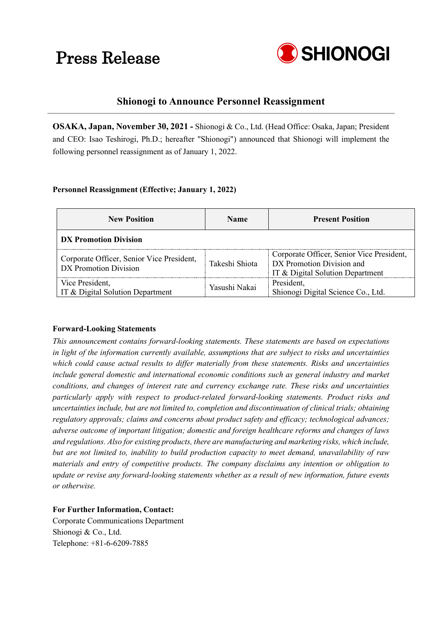# Press Release



# **Shionogi to Announce Personnel Reassignment**

**OSAKA, Japan, November 30, 2021 -** Shionogi & Co., Ltd. (Head Office: Osaka, Japan; President and CEO: Isao Teshirogi, Ph.D.; hereafter "Shionogi") announced that Shionogi will implement the following personnel reassignment as of January 1, 2022.

## **Personnel Reassignment (Effective; January 1, 2022)**

| <b>New Position</b>                                                | <b>Name</b>                                                       | <b>Present Position</b>                                                                                    |  |  |  |
|--------------------------------------------------------------------|-------------------------------------------------------------------|------------------------------------------------------------------------------------------------------------|--|--|--|
| DX Promotion Division                                              |                                                                   |                                                                                                            |  |  |  |
| Corporate Officer, Senior Vice President,<br>DX Promotion Division | Takeshi Shiota                                                    | Corporate Officer, Senior Vice President,<br>DX Promotion Division and<br>IT & Digital Solution Department |  |  |  |
| Vice President,<br>IT & Digital Solution Department                | President,<br>Yasushi Nakai<br>Shionogi Digital Science Co., Ltd. |                                                                                                            |  |  |  |

### **Forward-Looking Statements**

*This announcement contains forward-looking statements. These statements are based on expectations in light of the information currently available, assumptions that are subject to risks and uncertainties which could cause actual results to differ materially from these statements. Risks and uncertainties include general domestic and international economic conditions such as general industry and market conditions, and changes of interest rate and currency exchange rate. These risks and uncertainties particularly apply with respect to product-related forward-looking statements. Product risks and uncertainties include, but are not limited to, completion and discontinuation of clinical trials; obtaining regulatory approvals; claims and concerns about product safety and efficacy; technological advances; adverse outcome of important litigation; domestic and foreign healthcare reforms and changes of laws and regulations. Also for existing products, there are manufacturing and marketing risks, which include, but are not limited to, inability to build production capacity to meet demand, unavailability of raw materials and entry of competitive products. The company disclaims any intention or obligation to update or revise any forward-looking statements whether as a result of new information, future events or otherwise.*

### **For Further Information, Contact:**

Corporate Communications Department Shionogi & Co., Ltd. Telephone: +81-6-6209-7885